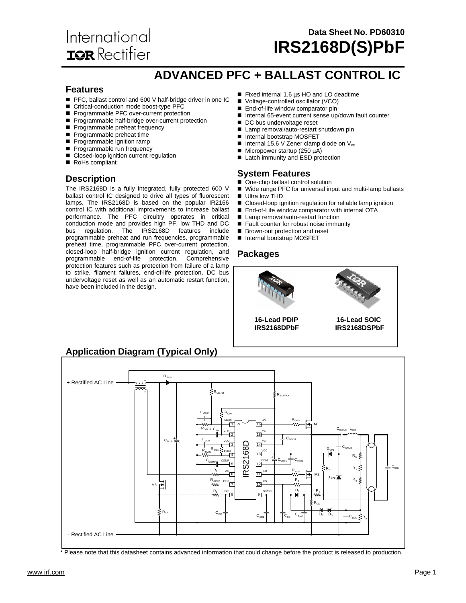# International **ISR** Rectifier

### **Data Sheet No. PD60310 IRS2168D(S)PbF**

### **ADVANCED PFC + BALLAST CONTROL IC**

#### **Features**

- PFC, ballast control and 600 V half-bridge driver in one IC
- Critical-conduction mode boost-type PFC
- Programmable PFC over-current protection
- Programmable half-bridge over-current protection
- Programmable preheat frequency
- Programmable preheat time
- Programmable ignition ramp
- Programmable run frequency
- Closed-loop ignition current regulation
- RoHs compliant

### **Description**

The IRS2168D is a fully integrated, fully protected 600 V ballast control IC designed to drive all types of fluorescent lamps. The IRS2168D is based on the popular IR2166 control IC with additional improvements to increase ballast performance. The PFC circuitry operates in critical conduction mode and provides high PF, low THD and DC bus regulation. The IRS2168D features include programmable preheat and run frequencies, programmable preheat time, programmable PFC over-current protection, closed-loop half-bridge ignition current regulation, and programmable end-of-life protection. Comprehensive protection features such as protection from failure of a lamp to strike, filament failures, end-of-life protection, DC bus undervoltage reset as well as an automatic restart function, have been included in the design.

- Fixed internal 1.6 µs HO and LO deadtime
- Voltage-controlled oscillator (VCO)
- End-of-life window comparator pin
- Internal 65-event current sense up/down fault counter
- DC bus undervoltage reset
- Lamp removal/auto-restart shutdown pin
- Internal bootstrap MOSFET
- Internal 15.6 V Zener clamp diode on  $V_{cc}$
- $\blacksquare$  Micropower startup (250 µA)
- Latch immunity and ESD protection

#### **System Features**

- One-chip ballast control solution
- Wide range PFC for universal input and multi-lamp ballasts
- Ultra low THD
- Closed-loop ignition regulation for reliable lamp ignition
- End-of-Life window comparator with internal OTA
- Lamp removal/auto-restart function
- Fault counter for robust noise immunity
- Brown-out protection and reset
- Internal bootstrap MOSFET

#### **Packages**



### **Application Diagram (Typical Only)**



Please note that this datasheet contains advanced information that could change before the product is released to production.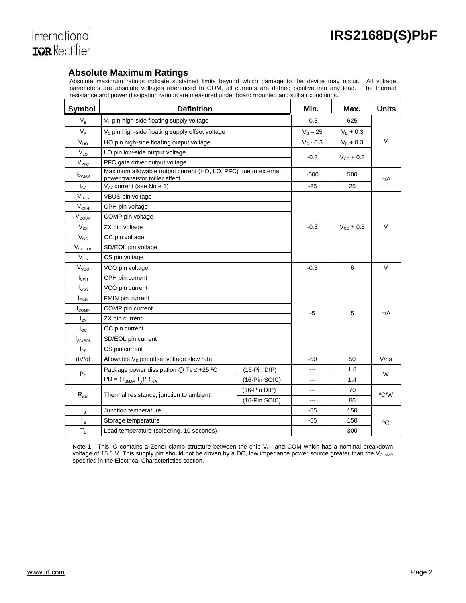

#### **Absolute Maximum Ratings**

Absolute maximum ratings indicate sustained limits beyond which damage to the device may occur. All voltage parameters are absolute voltages referenced to COM, all currents are defned positive into any lead. The thermal resistance and power dissipation ratings are measured under board mounted and still air conditions.

| Symbol                     | <b>Definition</b>                                                                                | Min.           | Max.        | <b>Units</b>          |        |  |
|----------------------------|--------------------------------------------------------------------------------------------------|----------------|-------------|-----------------------|--------|--|
| $V_B$                      | V <sub>B</sub> pin high-side floating supply voltage                                             |                | $-0.3$      | 625                   |        |  |
| $V_{\rm S}$                | V <sub>s</sub> pin high-side floating supply offset voltage                                      |                | $V_B - 25$  | $V_B + 0.3$           |        |  |
| $V_{HO}$                   | HO pin high-side floating output voltage                                                         |                | $V_S - 0.3$ | $V_B + 0.3$           | $\vee$ |  |
| $V_{LO}$                   | LO pin low-side output voltage                                                                   |                |             |                       |        |  |
| $V_{\text{PFC}}$           | PFC gate driver output voltage                                                                   |                | $-0.3$      | $V_{\text{cc}} + 0.3$ |        |  |
| $I_{O,MAX}$                | Maximum allowable output current (HO, LO, PFC) due to external<br>power transistor miller effect |                | $-500$      | 500                   | mA     |  |
| $\mathsf{I}_{\mathsf{CC}}$ | V <sub>cc</sub> current (see Note 1)                                                             |                | $-25$       | 25                    |        |  |
| $\rm V_{\rm BUS}$          | VBUS pin voltage                                                                                 |                |             |                       |        |  |
| $V_{\text{CPH}}$           | CPH pin voltage                                                                                  |                |             |                       |        |  |
| $V_{COMP}$                 | COMP pin voltage                                                                                 |                |             |                       |        |  |
| $V_{ZX}$                   | ZX pin voltage                                                                                   |                | $-0.3$      | $V_{\text{cc}} + 0.3$ | $\vee$ |  |
| $V_{OC}$                   | OC pin voltage                                                                                   |                |             |                       |        |  |
| $V_{SD/EOL}$               | SD/EOL pin voltage                                                                               |                |             |                       |        |  |
| $\rm V_{CS}$               | CS pin voltage                                                                                   |                |             |                       |        |  |
| $V_{VCO}$                  | VCO pin voltage                                                                                  | $-0.3$         | 6           | $\vee$                |        |  |
| $I_{\rm CPH}$              | CPH pin current                                                                                  |                |             |                       |        |  |
| $I_{\text{VCO}}$           | VCO pin current                                                                                  |                |             |                       |        |  |
| <b>I</b> <sub>FMIN</sub>   | FMIN pin current                                                                                 |                |             |                       |        |  |
| $I_{COMP}$                 | COMP pin current                                                                                 |                | $-5$        | 5                     | mA     |  |
| $I_{ZX}$                   | ZX pin current                                                                                   |                |             |                       |        |  |
| $I_{\rm OC}$               | OC pin current                                                                                   |                |             |                       |        |  |
| $I_{SD/EOL}$               | SD/EOL pin current                                                                               |                |             |                       |        |  |
| $I_{\text{cs}}$            | CS pin current                                                                                   |                |             |                       |        |  |
| dV/dt                      | Allowable $Vs$ pin offset voltage slew rate                                                      | $-50$          | 50          | V/ns                  |        |  |
| $P_{D}$                    | Package power dissipation @ $T_A \leq +25$ °C                                                    | $(16-Pin DIP)$ | $---$       | 1.8                   | W      |  |
|                            | $PD = (T_{JMAX} \cdot T_{A})/R_{\theta JA}$                                                      | (16-Pin SOIC)  | ---         | 1.4                   |        |  |
| $R_{\theta$ JA             |                                                                                                  | $(16-Pin DIP)$ | ---         | 70                    | °C/W   |  |
|                            | Thermal resistance, junction to ambient<br>$(16-Pin SOIC)$                                       |                | ---         | 86                    |        |  |
| $T_{\rm J}$                | Junction temperature                                                                             | -55            | 150         |                       |        |  |
| $T_{\rm S}$                | Storage temperature                                                                              |                | -55         | 150                   | °C     |  |
| $T_L$                      | Lead temperature (soldering, 10 seconds)                                                         | ---            | 300         |                       |        |  |

Note 1: This IC contains a Zener clamp structure between the chip  $V_{CC}$  and COM which has a nominal breakdown voltage of 15.6 V. This supply pin should not be driven by a DC, low impedance power source greater than the V<sub>CLAMP</sub> specified in the Electrical Characteristics section.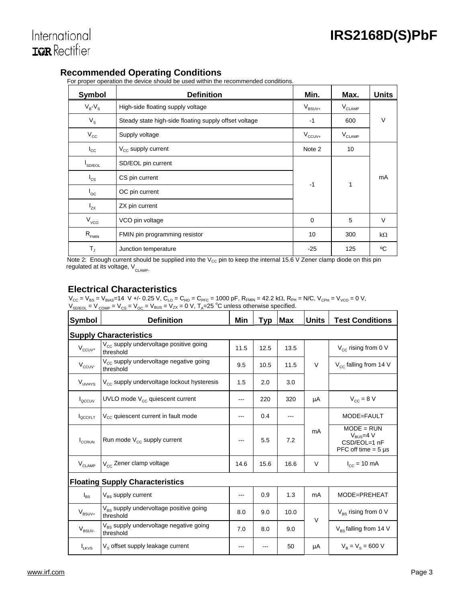### **Recommended Operating Conditions**

For proper operation the device should be used within the recommended conditions.

| <b>Symbol</b>               | <b>Definition</b>                                     | Min.                 | Max.            | <b>Units</b> |
|-----------------------------|-------------------------------------------------------|----------------------|-----------------|--------------|
| $V_B-V_S$                   | High-side floating supply voltage                     | $V_{\mathsf{BSUV+}}$ | $\rm V_{CLAMP}$ |              |
| $V_{\rm S}$                 | Steady state high-side floating supply offset voltage | $-1$                 | 600             | V            |
| $V_{\rm CC}$                | Supply voltage                                        | $V_{\text{CCUV+}}$   | $V_{CLAMP}$     |              |
| $I_{\rm CC}$                | $V_{cc}$ supply current                               | Note 2               | 10              |              |
| SD/EOL                      | SD/EOL pin current                                    |                      |                 |              |
| $^{\mathsf{I}}$ cs          | CS pin current                                        | $-1$                 | 1               | mA           |
| $\mathsf{I}_{\mathsf{OC}}$  | OC pin current                                        |                      |                 |              |
| $I_{zx}$                    | ZX pin current                                        |                      |                 |              |
| $V_{vco}$                   | VCO pin voltage                                       | $\mathbf 0$          | 5               | V            |
| $\mathsf{R}_{\textsc{fmm}}$ | FMIN pin programming resistor                         | 10                   | 300             | kΩ           |
| $T_{\rm J}$                 | Junction temperature                                  | $-25$                | 125             | °C           |

Note 2: Enough current should be supplied into the  $V_{CC}$  pin to keep the internal 15.6 V Zener clamp diode on this pin regulated at its voltage,  $V_{CLAMP}$ .

### **Electrical Characteristics**

 $V_{CC} = V_{BS} = V_{BIAS}$ =14 V +/- 0.25 V, C<sub>LO</sub> = C<sub>HO</sub> = C<sub>PFC</sub> = 1000 pF, R<sub>FMIN</sub> = 42.2 kΩ, R<sub>PH</sub> = N/C, V<sub>CPH</sub> = V<sub>VCO</sub> = 0 V,  $V_{SDEOL} = V_{COMP} = V_{CS} = V_{OC} = V_{BUS} = V_{ZX} = 0$  V,  $T_A = 25$  °C unless otherwise specified.

| Symbol                         | <b>Definition</b>                                               | Min  | Typ        | Max  | <b>Units</b> | <b>Test Conditions</b>                                                             |
|--------------------------------|-----------------------------------------------------------------|------|------------|------|--------------|------------------------------------------------------------------------------------|
|                                | <b>Supply Characteristics</b>                                   |      |            |      |              |                                                                                    |
| $\mathsf{V}_{\mathsf{CCUV}^+}$ | V <sub>cc</sub> supply undervoltage positive going<br>threshold | 11.5 | 12.5       | 13.5 |              | $V_{\rm cc}$ rising from 0 V                                                       |
| $V_{\text{CCUV}}$              | V <sub>cc</sub> supply undervoltage negative going<br>threshold |      | 10.5       | 11.5 | V            | $V_{cc}$ falling from 14 V                                                         |
| V <sub>UVHYS</sub>             | $V_{cc}$ supply undervoltage lockout hysteresis                 | 1.5  | 2.0        | 3.0  |              |                                                                                    |
| l <sub>occuv</sub>             | UVLO mode $V_{cc}$ quiescent current                            | ---  | 220        | 320  | μA           | $V_{\text{cc}} = 8 V$                                                              |
| <b>OCCFLT</b>                  | V <sub>cc</sub> quiescent current in fault mode<br>0.4<br>---   |      | MODE=FAULT |      |              |                                                                                    |
| <b>I</b> CCRUN                 | Run mode $V_{cc}$ supply current                                |      | 5.5        | 7.2  | mA           | $MODE = RUN$<br>$V_{\text{BUS}} = 4 V$<br>CSD/EOL=1 nF<br>PFC off time $= 5 \mu s$ |
| $V_{CLAMP}$                    | V <sub>cc</sub> Zener clamp voltage                             |      | 15.6       | 16.6 | $\vee$       | $I_{\text{CC}} = 10 \text{ mA}$                                                    |
|                                | <b>Floating Supply Characteristics</b>                          |      |            |      |              |                                                                                    |
| $I_{BS}$                       | $V_{\text{BS}}$ supply current                                  | ---  | 0.9        | 1.3  | mA           | MODE=PREHEAT                                                                       |
| $\mathsf{V}_{\mathsf{BSUV+}}$  | V <sub>BS</sub> supply undervoltage positive going<br>threshold | 8.0  | 9.0        | 10.0 | $\vee$       | $V_{BS}$ rising from 0 V                                                           |
| $V_{BSUV}$                     | $V_{BS}$ supply undervoltage negative going<br>threshold        | 7.0  | 8.0        | 9.0  |              | $V_{BS}$ falling from 14 V                                                         |
| $I_{LKVS}$                     | $Vs$ offset supply leakage current                              |      |            | 50   | μA           | $V_B = V_S = 600 V$                                                                |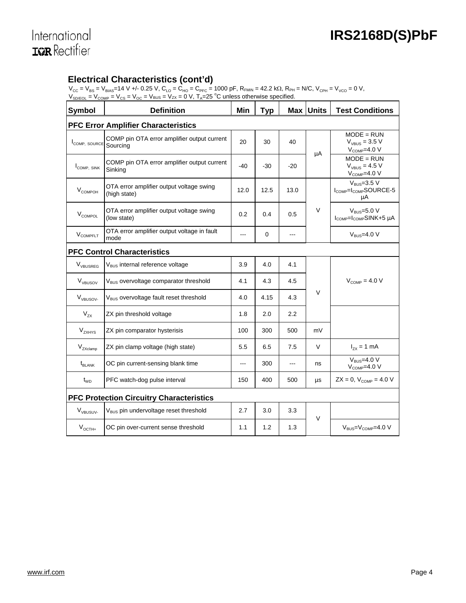International **IGR** Rectifier

### **Electrical Characteristics (cont'd)**

 $V_{CC} = V_{BS} = V_{BIAS}$ =14 V +/- 0.25 V,  $C_{LO} = C_{HO} = C_{PFC}$  = 1000 pF, R<sub>FMIN</sub> = 42.2 kΩ, R<sub>PH</sub> = N/C, V<sub>CPH</sub> = V<sub>VCO</sub> = 0 V,  $V_{SD/EOL} = V_{COMP} = V_{CS} = V_{OC} = V_{BUS} = V_{ZX} = 0 \text{ V}, T_A = 25 \text{ °C}$  unless otherwise specified.

| <b>Symbol</b>            | <b>Definition</b>                                        | Min            | <b>Typ</b>  |       | <b>Max Units</b> | <b>Test Conditions</b>                                           |
|--------------------------|----------------------------------------------------------|----------------|-------------|-------|------------------|------------------------------------------------------------------|
|                          | <b>PFC Error Amplifier Characteristics</b>               |                |             |       |                  |                                                                  |
| COMP, SOURCE             | COMP pin OTA error amplifier output current<br>Sourcing  | 20             | 30          | 40    | μA               | $MODE = RUN$<br>$V_{VBUS} = 3.5 V$<br>$V_{\text{COMP}}=4.0 V$    |
| I <sub>COMP</sub> , SINK | COMP pin OTA error amplifier output current<br>Sinking   | $-40$          | $-30$       | $-20$ |                  | $MODE = RUN$<br>$V_{VRIIS}$ = 4.5 V<br>$V_{\text{COMP}}=4.0 V$   |
| V <sub>COMPOH</sub>      | OTA error amplifier output voltage swing<br>(high state) | 12.0           | 12.5        | 13.0  |                  | $VBUS=3.5 V$<br>$I_{\text{COMP}}=I_{\text{COMP}}$ SOURCE-5<br>μA |
| $V_{COMPOL}$             | OTA error amplifier output voltage swing<br>(low state)  | 0.2            | 0.4         | 0.5   | V                | $VBUS=5.0 V$<br>I <sub>COMP</sub> =I <sub>COMP</sub> SINK+5 µA   |
| <b>VCOMPFLT</b>          | OTA error amplifier output voltage in fault<br>mode      | $---$          | $\mathbf 0$ | ---   |                  | $V_{RUS} = 4.0 V$                                                |
|                          | <b>PFC Control Characteristics</b>                       |                |             |       |                  |                                                                  |
| V <sub>VBUSREG</sub>     | V <sub>BUS</sub> internal reference voltage              | 3.9            | 4.0         | 4.1   |                  |                                                                  |
| V <sub>VBUSOV</sub>      | V <sub>BUS</sub> overvoltage comparator threshold        | 4.1            | 4.3         | 4.5   |                  | $V_{\text{COMP}} = 4.0 V$                                        |
| $V_{VBUSOV}$             | V <sub>BUS</sub> overvoltage fault reset threshold       | 4.0            | 4.15        | 4.3   | $\vee$           |                                                                  |
| $V_{zx}$                 | ZX pin threshold voltage                                 | 1.8            | 2.0         | 2.2   |                  |                                                                  |
| V <sub>ZXHYS</sub>       | ZX pin comparator hysterisis                             | 100            | 300         | 500   | mV               |                                                                  |
| $V_{ZXclamp}$            | ZX pin clamp voltage (high state)                        | 5.5            | 6.5         | 7.5   | V                | $I_{zx} = 1$ mA                                                  |
| $t_{BLANK}$              | OC pin current-sensing blank time                        | $\overline{a}$ | 300         | $---$ | ns               | $V_{BUS} = 4.0 V$<br>$V_{\text{COMP}}=4.0 V$                     |
| $t_{WD}$                 | PFC watch-dog pulse interval                             | 150            | 400         | 500   | μs               | $ZX = 0$ , $V_{\text{COMP}} = 4.0 V$                             |
|                          | <b>PFC Protection Circuitry Characteristics</b>          |                |             |       |                  |                                                                  |
| V <sub>VBUSUV</sub> .    | V <sub>BUS</sub> pin undervoltage reset threshold        | 2.7            | 3.0         | 3.3   | $\vee$           |                                                                  |
| $V_{OCTH+}$              | OC pin over-current sense threshold                      | 1.1            | 1.2         | 1.3   |                  | $V_{BUS} = V_{\text{COMP}} = 4.0 V$                              |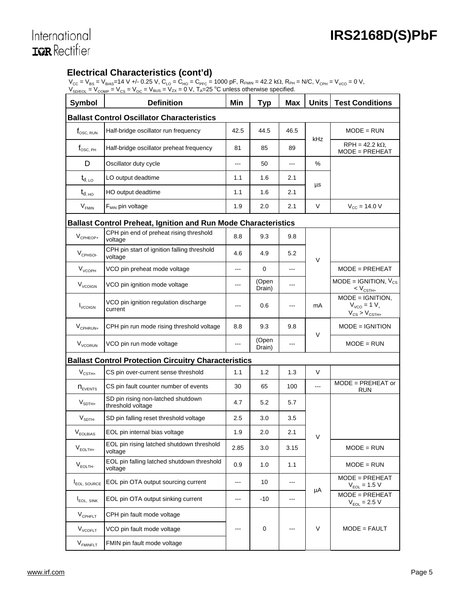# International **IQR** Rectifier

### **Electrical Characteristics (cont'd)**

 $V_{CC} = V_{BS} = V_{BIAS} = 14 V +/-0.25 V$ ,  $C_{LO} = C_{HO} = C_{PFC} = 1000 \text{ pF}$ ,  $R_{FMIN} = 42.2 \text{ k}\Omega$ ,  $R_{PH} = N/C$ ,  $V_{CPH} = V_{VCO} = 0 V$ ,  $V_{SD/EOL} = V_{COMP} = V_{CS} = V_{OC} = V_{BUS} = V_{ZX} = 0$  V,  $T_A = 25$  °C unless otherwise specified.

| Symbol                        | <b>Definition</b>                                                     | Min   | <b>Typ</b>      | <b>Max</b> | <b>Units</b> | <b>Test Conditions</b>                                          |
|-------------------------------|-----------------------------------------------------------------------|-------|-----------------|------------|--------------|-----------------------------------------------------------------|
|                               | <b>Ballast Control Oscillator Characteristics</b>                     |       |                 |            |              |                                                                 |
| $f_{\rm OSC,~RUN}$            | Half-bridge oscillator run frequency                                  | 42.5  | 44.5            | 46.5       |              | $MODE = RUN$                                                    |
| $f_{\rm OSC, PH}$             | Half-bridge oscillator preheat frequency                              | 81    | 85              | 89         | kHz          | $RPH = 42.2 k\Omega$ ,<br>$MODE = PREHEAT$                      |
| D                             | Oscillator duty cycle                                                 | ---   | 50              | ---        | %            |                                                                 |
| $t_{d, LO}$                   | LO output deadtime                                                    | 1.1   | 1.6             | 2.1        |              |                                                                 |
| $t_{d,HO}$                    | HO output deadtime                                                    | 1.1   | 1.6             | 2.1        | μs           |                                                                 |
| $V_{FMIN}$                    | $F_{MIN}$ pin voltage                                                 | 1.9   | 2.0             | 2.1        | V            | $V_{CC} = 14.0 V$                                               |
|                               | <b>Ballast Control Preheat, Ignition and Run Mode Characteristics</b> |       |                 |            |              |                                                                 |
| $V_{\text{CPHEOP+}}$          | CPH pin end of preheat rising threshold<br>voltage                    | 8.8   | 9.3             | 9.8        |              |                                                                 |
| $V_{\text{CPHSO}}$            | CPH pin start of ignition falling threshold<br>voltage                | 4.6   | 4.9             | 5.2        | V            |                                                                 |
| V <sub>VCOPH</sub>            | VCO pin preheat mode voltage                                          | $---$ | 0               | $---$      |              | $MODE = PREHEAT$                                                |
| $V_{VCOIGN}$                  | VCO pin ignition mode voltage                                         | ---   | (Open<br>Drain) |            |              | $MODE = IGNITION, V_{CS}$<br>$< V_{\text{CSTH+}}$               |
| $I_{VCOIGN}$                  | VCO pin ignition regulation discharge<br>current                      | ---   | 0.6             |            | mA           | $MODE = IGNITION$<br>$V_{VCO} = 1 V,$<br>$V_{CS}$ > $V_{CSTH+}$ |
| $V_{CPHRUN+}$                 | CPH pin run mode rising threshold voltage                             | 8.8   | 9.3             | 9.8        | V            | $MODE = IGNITION$                                               |
| <b>V<sub>VCORUN</sub></b>     | VCO pin run mode voltage                                              | ---   | (Open<br>Drain) | ---        |              | $MODE = RUN$                                                    |
|                               | <b>Ballast Control Protection Circuitry Characteristics</b>           |       |                 |            |              |                                                                 |
| $V_{\text{CSTH+}}$            | CS pin over-current sense threshold                                   | 1.1   | 1.2             | 1.3        | $\vee$       |                                                                 |
| $n_{\text{EVENTS}}$           | CS pin fault counter number of events                                 | 30    | 65              | 100        | ---          | $MODE = PREHEAT$ or<br>RUN                                      |
| $\mathsf{V}_{\mathsf{SDTH+}}$ | SD pin rising non-latched shutdown<br>threshold voltage               | 4.7   | 5.2             | 5.7        |              |                                                                 |
| V <sub>SDTH</sub>             | SD pin falling reset threshold voltage                                | 2.5   | 3.0             | 3.5        |              |                                                                 |
| $V_{EOLBIAS}$                 | EOL pin internal bias voltage                                         | 1.9   | 2.0             | 2.1        | V            |                                                                 |
| $V_{EOLTH+}$                  | EOL pin rising latched shutdown threshold<br>voltage                  | 2.85  | 3.0             | 3.15       |              | $MODE = RUN$                                                    |
| $V_{EOLTH}$                   | EOL pin falling latched shutdown threshold<br>voltage                 | 0.9   | 1.0             | 1.1        |              | $MODE = RUN$                                                    |
| <b>I</b> EOL, SOURCE          | EOL pin OTA output sourcing current                                   | ---   | 10              | ---        |              | $MODE = PREHEAT$<br>$V_{EOL} = 1.5 V$                           |
| <b>I</b> <sub>EOL, SINK</sub> | EOL pin OTA output sinking current                                    | ---   | -10             |            | μA           | $MODE = PREHEAT$<br>$V_{EOL} = 2.5 V$                           |
| $V_{\text{CPHFLT}}$           | CPH pin fault mode voltage                                            |       |                 |            |              |                                                                 |
| $V_{VCOFLT}$                  | VCO pin fault mode voltage                                            |       | 0               |            | V            | $MODE = FAULT$                                                  |
| V <sub>FMINFLT</sub>          | FMIN pin fault mode voltage                                           |       |                 |            |              |                                                                 |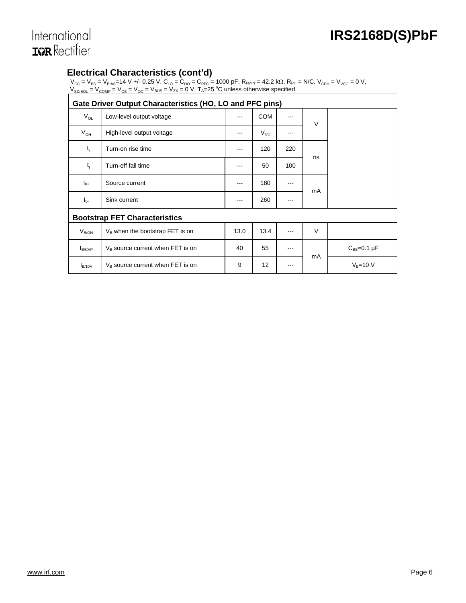# International **IGR** Rectifier

### **Electrical Characteristics (cont'd)**

 $V_{CC} = V_{BS} = V_{BIAS}$ =14 V +/- 0.25 V, C<sub>LO</sub> = C<sub>HO</sub> = C<sub>PFC</sub> = 1000 pF, R<sub>FMIN</sub> = 42.2 kΩ, R<sub>PH</sub> = N/C, V<sub>CPH</sub> = V<sub>VCO</sub> = 0 V,  $V_{SD/EOL} = V_{COMP} = V_{CS} = V_{OC} = V_{BUS} = V_{ZX} = 0$  V,  $T_A = 25$  °C unless otherwise specified.

| Gate Driver Output Characteristics (HO, LO and PFC pins) |                                      |      |              |     |        |                      |  |  |
|----------------------------------------------------------|--------------------------------------|------|--------------|-----|--------|----------------------|--|--|
| $V_{OL}$                                                 | Low-level output voltage             | ---  | <b>COM</b>   |     | $\vee$ |                      |  |  |
| $V_{OH}$                                                 | High-level output voltage            | ---  | $V_{\rm CC}$ | --- |        |                      |  |  |
| $t_{r}$                                                  | Turn-on rise time                    | ---  | 120          | 220 |        |                      |  |  |
| $t_{f}$                                                  | Turn-off fall time                   | ---  | 50           | 100 | ns     |                      |  |  |
| $I_{0+}$                                                 | Source current                       | ---  | 180          | --- | mA     |                      |  |  |
| $I_{0}$                                                  | Sink current                         | ---  | 260          | --- |        |                      |  |  |
|                                                          | <b>Bootstrap FET Characteristics</b> |      |              |     |        |                      |  |  |
| $V_{B/ON}$                                               | $V_B$ when the bootstrap FET is on   | 13.0 | 13.4         | --- | $\vee$ |                      |  |  |
| I <sub>B/CAP</sub>                                       | $V_B$ source current when FET is on  | 40   | 55           |     | mA     | $C_{BS} = 0.1 \mu F$ |  |  |
| $I_{B/10V}$                                              | $V_B$ source current when FET is on  | 9    | 12           |     |        | $V_B = 10 V$         |  |  |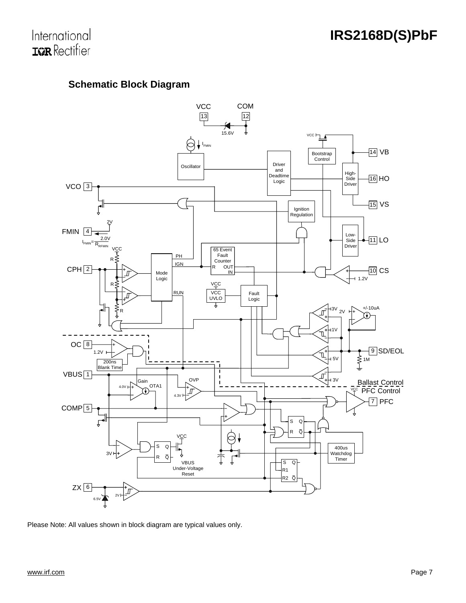

### **Schematic Block Diagram**



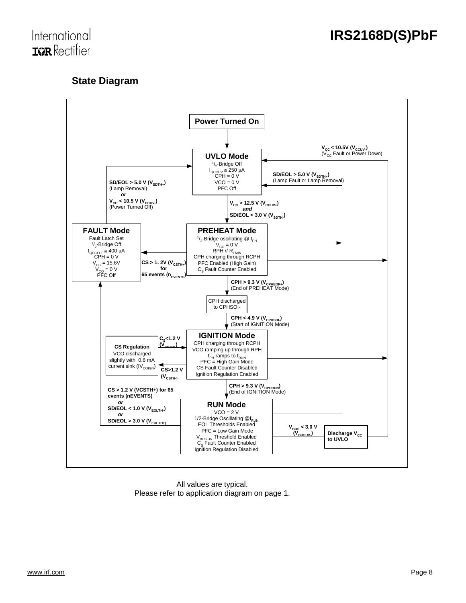

### **State Diagram**



All values are typical. Please refer to application diagram on page 1.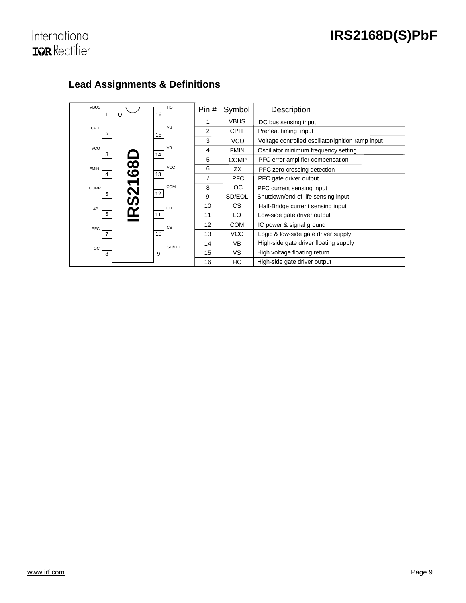

### **Lead Assignments & Definitions**

| <b>VBUS</b><br>$\circ$                 | HO<br>16        | Pin# | Symbol      | Description                                       |
|----------------------------------------|-----------------|------|-------------|---------------------------------------------------|
|                                        |                 | 1    | <b>VBUS</b> | DC bus sensing input                              |
| CPH<br>$\overline{2}$                  | <b>VS</b><br>15 | 2    | <b>CPH</b>  | Preheat timing input                              |
|                                        |                 | 3    | <b>VCO</b>  | Voltage controlled oscillator/ignition ramp input |
| <b>VCO</b><br>3                        | <b>VB</b><br>14 | 4    | <b>FMIN</b> | Oscillator minimum frequency setting              |
|                                        |                 | 5    | <b>COMP</b> | PFC error amplifier compensation                  |
| $\overline{\mathbf{8}}$<br><b>FMIN</b> | <b>VCC</b>      | 6    | ZX          | PFC zero-crossing detection                       |
| 4                                      | 13              | 7    | <b>PFC</b>  | PFC gate driver output                            |
| COMP                                   | COM             | 8    | OC.         | PFC current sensing input                         |
| .<br>တ<br>5                            | 12              | 9    | SD/EOL      | Shutdown/end of life sensing input                |
| ZX                                     | LO              | 10   | CS.         | Half-Bridge current sensing input                 |
| ≃<br>6                                 | 11              | 11   | LO          | Low-side gate driver output                       |
| PFC                                    | <b>CS</b>       | 12   | <b>COM</b>  | IC power & signal ground                          |
| $\overline{7}$                         | 10 <sup>1</sup> | 13   | VCC         | Logic & low-side gate driver supply               |
| $_{\rm OC}$                            | SD/EOL          | 14   | <b>VB</b>   | High-side gate driver floating supply             |
| 8                                      | 9               | 15   | VS.         | High voltage floating return                      |
|                                        |                 | 16   | HO          | High-side gate driver output                      |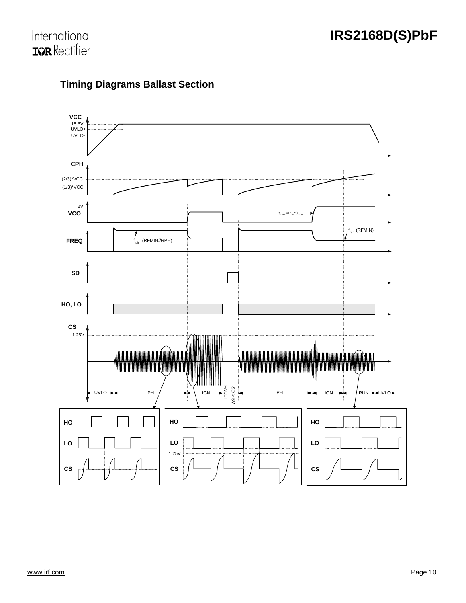



### **Timing Diagrams Ballast Section**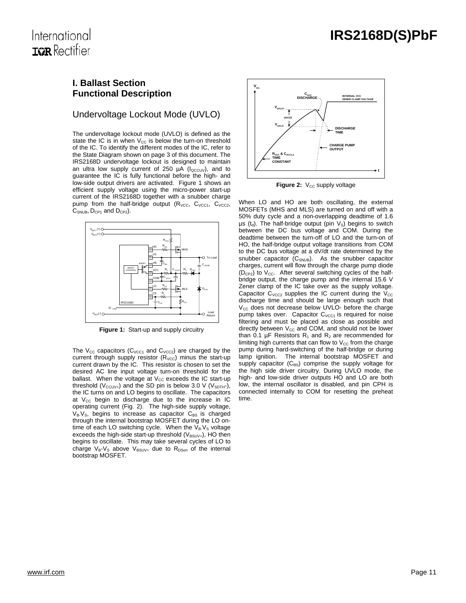### International **TOR** Rectifier

#### **I. Ballast Section Functional Description**

### Undervoltage Lockout Mode (UVLO)

The undervoltage lockout mode (UVLO) is defined as the state the IC is in when  $V_{CC}$  is below the turn-on threshold of the IC. To identify the different modes of the IC, refer to the State Diagram shown on page 3 of this document. The IRS2168D undervoltage lockout is designed to maintain an ultra low supply current of 250  $\mu$ A ( $I_{\text{OCCUV}}$ ), and to guarantee the IC is fully functional before the high- and low-side output drivers are activated. Figure 1 shows an efficient supply voltage using the micro-power start-up current of the IRS2168D together with a snubber charge pump from the half-bridge output ( $R_{VCC}$ ,  $C_{VCC1}$ ,  $C_{VCC2}$ , C<sub>SNUB</sub>, D<sub>CP1</sub> and D<sub>CP2</sub>).



**Figure 1:** Start-up and supply circuitry

The  $V_{CC}$  capacitors ( $C_{VCC1}$  and  $C_{VCC2}$ ) are charged by the current through supply resistor  $(R<sub>VCC</sub>)$  minus the start-up current drawn by the IC. This resistor is chosen to set the desired AC line input voltage turn-on threshold for the ballast. When the voltage at  $V_{CC}$  exceeds the IC start-up threshold ( $V_{\text{CCUV+}}$ ) and the SD pin is below 3.0 V ( $V_{\text{SDTH-}}$ ), the IC turns on and LO begins to oscillate. The capacitors at  $V_{CC}$  begin to discharge due to the increase in IC operating current (Fig. 2). The high-side supply voltage,  $V_B$ , begins to increase as capacitor  $C_{BS}$  is charged through the internal bootstrap MOSFET during the LO ontime of each LO switching cycle. When the  $V_B V_S$  voltage exceeds the high-side start-up threshold  $(V_{BSUV+})$ , HO then begins to oscillate. This may take several cycles of LO to charge  $V_B-V_S$  above  $V_{BSUV+}$  due to  $R_{DSon}$  of the internal bootstrap MOSFET.



**Figure 2:** V<sub>cc</sub> supply voltage

When LO and HO are both oscillating, the external MOSFETs (MHS and MLS) are turned on and off with a 50% duty cycle and a non-overlapping deadtime of 1.6  $\mu s$  (t<sub>d</sub>). The half-bridge output (pin V<sub>s</sub>) begins to switch between the DC bus voltage and COM. During the deadtime between the turn-off of LO and the turn-on of HO, the half-bridge output voltage transitions from COM to the DC bus voltage at a dV/dt rate determined by the snubber capacitor  $(C_{SNUB})$ . As the snubber capacitor charges, current will flow through the charge pump diode  $(D_{CP2})$  to  $V_{CC}$ . After several switching cycles of the halfbridge output, the charge pump and the internal 15.6 V Zener clamp of the IC take over as the supply voltage. Capacitor  $C_{VCC2}$  supplies the IC current during the  $V_{CC}$ discharge time and should be large enough such that  $V_{CC}$  does not decrease below UVLO- before the charge pump takes over. Capacitor  $C_{VCC1}$  is required for noise filtering and must be placed as close as possible and directly between  $V_{CC}$  and COM, and should not be lower than 0.1 µF Resistors  $R_1$  and  $R_2$  are recommended for limiting high currents that can flow to  $V_{CC}$  from the charge pump during hard-switching of the half-bridge or during lamp ignition. The internal bootstrap MOSFET and supply capacitor  $(C_{BS})$  comprise the supply voltage for the high side driver circuitry. During UVLO mode, the high- and low-side driver outputs HO and LO are both low, the internal oscillator is disabled, and pin CPH is connected internally to COM for resetting the preheat time.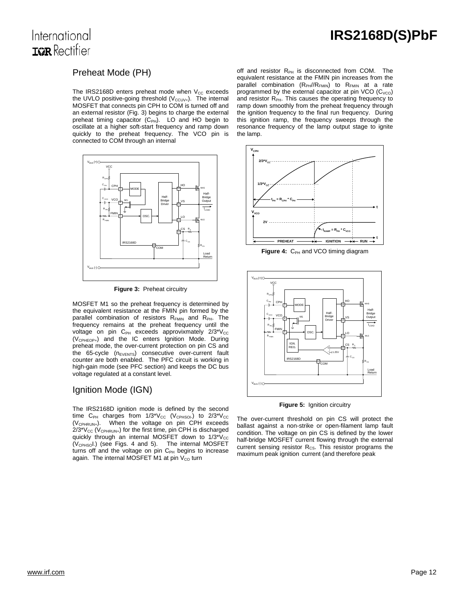### International **TOR** Rectifier

### Preheat Mode (PH)

The IRS2168D enters preheat mode when  $V_{CC}$  exceeds the UVLO positive-going threshold  $(V_{\text{CCUV+}})$ . The internal MOSFET that connects pin CPH to COM is turned off and an external resistor (Fig. 3) begins to charge the external preheat timing capacitor  $(C_{PH})$ . LO and HO begin to oscillate at a higher soft-start frequency and ramp down quickly to the preheat frequency. The VCO pin is connected to COM through an internal



**Figure 3:** Preheat circuitry

MOSFET M1 so the preheat frequency is determined by the equivalent resistance at the FMIN pin formed by the parallel combination of resistors R<sub>FMIN</sub> and R<sub>PH</sub>. The frequency remains at the preheat frequency until the voltage on pin  $C_{PH}$  exceeds approvixmately  $2/3*\text{V}_{CC}$ (V<sub>CPHEOP+</sub>) and the IC enters Ignition Mode. During preheat mode, the over-current protection on pin CS and the 65-cycle (n<sub>EVENTS</sub>) consecutive over-current fault counter are both enabled. The PFC circuit is working in high-gain mode (see PFC section) and keeps the DC bus voltage regulated at a constant level.

### Ignition Mode (IGN)

The IRS2168D ignition mode is defined by the second time C<sub>PH</sub> charges from  $1/3$ <sup>\*</sup>V<sub>CC</sub> (V<sub>CPHSOI</sub>) to  $2/3$ <sup>\*</sup>V<sub>CC</sub> (VCPHRUN+). When the voltage on pin CPH exceeds  $2/3$ <sup>\*</sup>V<sub>cc</sub> (V<sub>CPHRUN+</sub>) for the first time, pin CPH is discharged quickly through an internal MOSFET down to  $1/3$ <sup>\*</sup>V<sub>cc</sub>  $(V_{\text{CPHSO}})$  (see Figs. 4 and 5). The internal MOSFET turns off and the voltage on pin C<sub>PH</sub> begins to increase again. The internal MOSFET M1 at pin  $V_{CO}$  turn

off and resistor  $R_{PH}$  is disconnected from COM. The equivalent resistance at the FMIN pin increases from the parallel combination (R<sub>PH</sub>//R<sub>FMIN</sub>) to R<sub>FMIN</sub> at a rate programmed by the external capacitor at pin VCO  $(C_{VCO})$ and resistor  $R_{PH}$ . This causes the operating frequency to ramp down smoothly from the preheat frequency through the ignition frequency to the final run frequency. During this ignition ramp, the frequency sweeps through the resonance frequency of the lamp output stage to ignite the lamp.



Figure 4: C<sub>PH</sub> and VCO timing diagram



**Figure 5:** Ignition circuitry

The over-current threshold on pin CS will protect the ballast against a non-strike or open-filament lamp fault condition. The voltage on pin CS is defined by the lower half-bridge MOSFET current flowing through the external current sensing resistor  $R_{CS}$ . This resistor programs the maximum peak ignition current (and therefore peak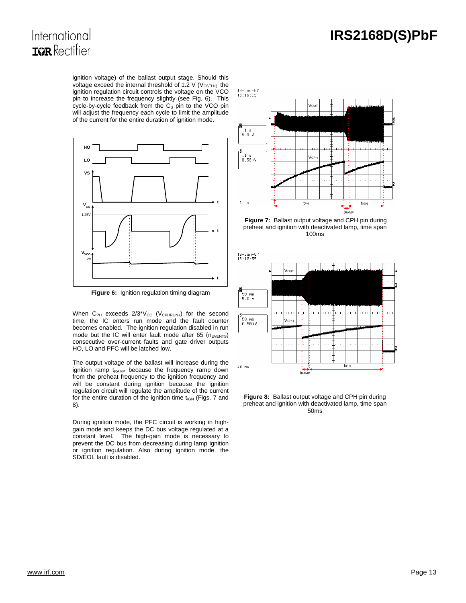# International **IGR** Rectifier

ignition voltage) of the ballast output stage. Should this voltage exceed the internal threshold of 1.2 V ( $V_{\text{CSTH+}}$ ), the ignition regulation circuit controls the voltage on the VCO pin to increase the frequency slightly (see Fig. 6). This cycle-by-cycle feedback from the  $C_S$  pin to the VCO pin will adjust the frequency each cycle to limit the amplitude of the current for the entire duration of ignition mode.



**Figure 6:** Ignition regulation timing diagram

When  $C_{PH}$  exceeds  $2/3^*V_{CC}$  ( $V_{CPHRUN+}$ ) for the second time, the IC enters run mode and the fault counter becomes enabled. The ignition regulation disabled in run mode but the IC will enter fault mode after 65 ( $n_{\text{EVENTS}}$ ) consecutive over-current faults and gate driver outputs HO, LO and PFC will be latched low.

The output voltage of the ballast will increase during the ignition ramp  $t_{\text{RAMP}}$  because the frequency ramp down from the preheat frequency to the ignition frequency and will be constant during ignition because the ignition regulation circuit will regulate the amplitude of the current for the entire duration of the ignition time  $t_{IGN}$  (Figs. 7 and 8).

During ignition mode, the PFC circuit is working in highgain mode and keeps the DC bus voltage regulated at a constant level. The high-gain mode is necessary to prevent the DC bus from decreasing during lamp ignition or ignition regulation. Also during ignition mode, the SD/EOL fault is disabled.



 **Figure 7:** Ballast output voltage and CPH pin during preheat and ignition with deactivated lamp, time span 100ms



**Figure 8:** Ballast output voltage and CPH pin during preheat and ignition with deactivated lamp, time span 50ms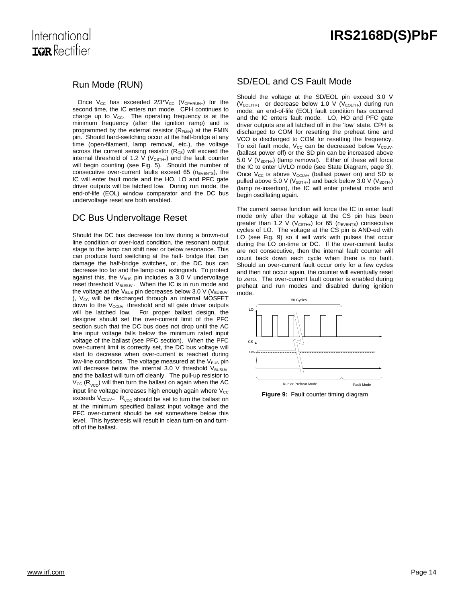### International **TOR** Rectifier

### Run Mode (RUN)

Once  $V_{CC}$  has exceeded  $2/3*V_{CC}$  (V<sub>CPHRUN+</sub>) for the second time, the IC enters run mode. CPH continues to charge up to  $V_{CC}$ . The operating frequency is at the minimum frequency (after the ignition ramp) and is programmed by the external resistor  $(R_{FMIN})$  at the FMIN pin. Should hard-switching occur at the half-bridge at any time (open-filament, lamp removal, etc.), the voltage across the current sensing resistor  $(R_{\text{cs}})$  will exceed the internal threshold of 1.2 V ( $V_{\text{CSTH+}}$ ) and the fault counter will begin counting (see Fig. 5). Should the number of consecutive over-current faults exceed 65 ( $n_{\text{EVENTS}}$ ), the IC will enter fault mode and the HO, LO and PFC gate driver outputs will be latched low. During run mode, the end-of-life (EOL) window comparator and the DC bus undervoltage reset are both enabled.

### DC Bus Undervoltage Reset

Should the DC bus decrease too low during a brown-out line condition or over-load condition, the resonant output stage to the lamp can shift near or below resonance. This can produce hard switching at the half- bridge that can damage the half-bridge switches, or, the DC bus can decrease too far and the lamp can extinguish. To protect against this, the V<sub>BUS</sub> pin includes a 3.0 V undervoltage reset threshold V<sub>BUSUV</sub>.. When the IC is in run mode and the voltage at the  $V_{BUS}$  pin decreases below 3.0 V ( $V_{BUSUV}$ -),  $V_{CC}$  will be discharged through an internal MOSFET down to the  $V_{\text{CCUV}}$  threshold and all gate driver outputs will be latched low. For proper ballast design, the designer should set the over-current limit of the PFC section such that the DC bus does not drop until the AC line input voltage falls below the minimum rated input voltage of the ballast (see PFC section). When the PFC over-current limit is correctly set, the DC bus voltage will start to decrease when over-current is reached during low-line conditions. The voltage measured at the  $V_{BUS}$  pin will decrease below the internal 3.0 V threshold  $V_{\text{BUS}}$ and the ballast will turn off cleanly. The pull-up resistor to  $V_{\text{CC}}$  (R<sub>VCC</sub>) will then turn the ballast on again when the AC input line voltage increases high enough again where  $V_{\text{CC}}$ exceeds  $V_{\text{CCUV+}}$ .  $R_{\text{VCC}}$  should be set to turn the ballast on at the minimum specified ballast input voltage and the PFC over-current should be set somewhere below this level. This hysteresis will result in clean turn-on and turnoff of the ballast.

### SD/EOL and CS Fault Mode

Should the voltage at the SD/EOL pin exceed 3.0 V  $(V_{EOLTH+)}$  or decrease below 1.0 V ( $V_{EOLTH-}$ ) during run mode, an end-of-life (EOL) fault condition has occurred and the IC enters fault mode. LO, HO and PFC gate driver outputs are all latched off in the 'low' state. CPH is discharged to COM for resetting the preheat time and VCO is discharged to COM for resetting the frequency. To exit fault mode,  $V_{CC}$  can be decreased below  $V_{CCUV}$ . (ballast power off) or the SD pin can be increased above 5.0 V ( $V_{SDTH+}$ ) (lamp removal). Either of these will force the IC to enter UVLO mode (see State Diagram, page 3). Once  $V_{CC}$  is above  $V_{CCUV+}$  (ballast power on) and SD is pulled above 5.0 V ( $V_{SDTH+}$ ) and back below 3.0 V ( $V_{SDTH-}$ ) (lamp re-insertion), the IC will enter preheat mode and begin oscillating again.

The current sense function will force the IC to enter fault mode only after the voltage at the CS pin has been greater than 1.2 V ( $V_{\text{CSTH+}}$ ) for 65 (n<sub>EVENTS</sub>) consecutive cycles of LO. The voltage at the CS pin is AND-ed with LO (see Fig. 9) so it will work with pulses that occur during the LO on-time or DC. If the over-current faults are not consecutive, then the internal fault counter will count back down each cycle when there is no fault. Should an over-current fault occur only for a few cycles and then not occur again, the counter will eventually reset to zero. The over-current fault counter is enabled during preheat and run modes and disabled during ignition mode.



**Figure 9:** Fault counter timing diagram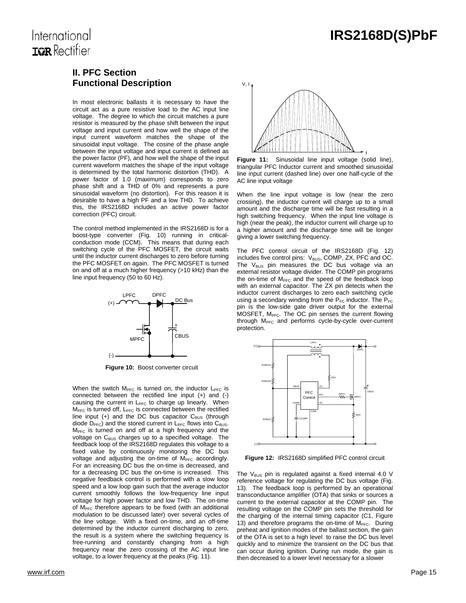t

# **TOR** Rectifier

International

### **II. PFC Section Functional Description**

In most electronic ballasts it is necessary to have the circuit act as a pure resistive load to the AC input line voltage. The degree to which the circuit matches a pure resistor is measured by the phase shift between the input voltage and input current and how well the shape of the input current waveform matches the shape of the sinusoidal input voltage. The cosine of the phase angle between the input voltage and input current is defined as the power factor (PF), and how well the shape of the input current waveform matches the shape of the input voltage is determined by the total harmonic distortion (THD). A power factor of 1.0 (maximum) corresponds to zero phase shift and a THD of 0% and represents a pure sinusoidal waveform (no distortion). For this reason it is desirable to have a high PF and a low THD. To achieve this, the IRS2168D includes an active power factor correction (PFC) circuit.

The control method implemented in the IRS2168D is for a boost-type converter (Fig. 10) running in criticalconduction mode (CCM). This means that during each switching cycle of the PFC MOSFET, the circuit waits until the inductor current discharges to zero before turning the PFC MOSFET on again. The PFC MOSFET is turned on and off at a much higher frequency (>10 kHz) than the line input frequency (50 to 60 Hz).



 **Figure 10:** Boost converter circuit

When the switch  $M<sub>PFC</sub>$  is turned on, the inductor  $L<sub>PFC</sub>$  is connected between the rectified line input (+) and (-) causing the current in L<sub>PFC</sub> to charge up linearly. When  $M<sub>PFC</sub>$  is turned off,  $L<sub>PFC</sub>$  is connected between the rectified line input  $(+)$  and the DC bus capacitor  $C_{\text{BUS}}$  (through diode  $D<sub>PFC</sub>$ ) and the stored current in  $L<sub>PFC</sub>$  flows into  $C<sub>BUS</sub>$ .  $M<sub>PFC</sub>$  is turned on and off at a high frequency and the voltage on  $C_{\text{BUS}}$  charges up to a specified voltage. The feedback loop of the IRS2168D regulates this voltage to a fixed value by continuously monitoring the DC bus voltage and adjusting the on-time of  $M<sub>PEC</sub>$  accordingly. For an increasing DC bus the on-time is decreased, and for a decreasing DC bus the on-time is increased. This negative feedback control is performed with a slow loop speed and a low loop gain such that the average inductor current smoothly follows the low-frequency line input voltage for high power factor and low THD. The on-time of  $M<sub>PFC</sub>$  therefore appears to be fixed (with an additional modulation to be discussed later) over several cycles of the line voltage. With a fixed on-time, and an off-time determined by the inductor current discharging to zero, the result is a system where the switching frequency is free-running and constantly changing from a high frequency near the zero crossing of the AC input line voltage, to a lower frequency at the peaks (Fig. 11).



Figure 11: Sinusoidal line input voltage (solid line), triangular PFC Inductor current and smoothed sinusoidal line input current (dashed line) over one half-cycle of the AC line input voltage

When the line input voltage is low (near the zero crossing), the inductor current will charge up to a small amount and the discharge time will be fast resulting in a high switching frequency. When the input line voltage is high (near the peak), the inductor current will charge up to a higher amount and the discharge time will be longer giving a lower switching frequency.

The PFC control circuit of the IRS2168D (Fig. 12) includes five control pins: V<sub>BUS</sub>, COMP, ZX, PFC and OC. The  $V_{BUS}$  pin measures the DC bus voltage via an external resistor voltage divider. The COMP pin programs the on-time of  $M<sub>PFC</sub>$  and the speed of the feedback loop with an external capacitor. The ZX pin detects when the inductor current discharges to zero each switching cycle using a secondary winding from the  $P_{FC}$  inductor. The  $P_{FC}$ pin is the low-side gate driver output for the external MOSFET, M<sub>PFC</sub>. The OC pin senses the current flowing through M<sub>PFC</sub> and performs cycle-by-cycle over-current protection.



**Figure 12:** IRS2168D simplified PFC control circuit

The  $V_{BUS}$  pin is regulated against a fixed internal 4.0 V reference voltage for regulating the DC bus voltage (Fig. 13). The feedback loop is performed by an operational transconductance amplifier (OTA) that sinks or sources a current to the external capacitor at the COMP pin. The resulting voltage on the COMP pin sets the threshold for the charging of the internal timing capacitor (C1, Figure 13) and therefore programs the on-time of  $M<sub>PEC</sub>$ . During preheat and ignition modes of the ballast section, the gain of the OTA is set to a high level to raise the DC bus level quickly and to minimize the transient on the DC bus that can occur during ignition. During run mode, the gain is then decreased to a lower level necessary for a slower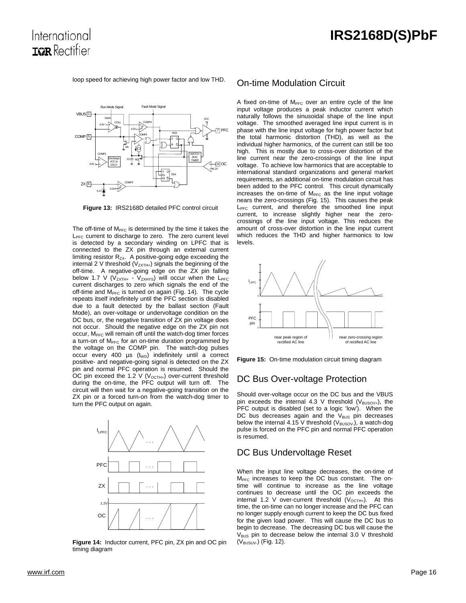loop speed for achieving high power factor and low THD.

International **TOR** Rectifier



**Figure 13:** IRS2168D detailed PFC control circuit

The off-time of  $M<sub>PFC</sub>$  is determined by the time it takes the  $L_{\text{PFC}}$  current to discharge to zero. The zero current level is detected by a secondary winding on LPFC that is connected to the ZX pin through an external current limiting resistor  $R_{ZX}$ . A positive-going edge exceeding the internal 2 V threshold ( $V_{ZXTH+}$ ) signals the beginning of the off-time. A negative-going edge on the ZX pin falling below 1.7 V ( $V_{ZXTH+}$  -  $V_{ZXHYS}$ ) will occur when the  $L_{PFC}$ current discharges to zero which signals the end of the off-time and  $M<sub>PFC</sub>$  is turned on again (Fig. 14). The cycle repeats itself indefinitely until the PFC section is disabled due to a fault detected by the ballast section (Fault Mode), an over-voltage or undervoltage condition on the DC bus, or, the negative transition of ZX pin voltage does not occur. Should the negative edge on the ZX pin not occur, M<sub>PFC</sub> will remain off until the watch-dog timer forces a turn-on of  $M<sub>PFC</sub>$  for an on-time duration programmed by the voltage on the COMP pin. The watch-dog pulses occur every 400  $\mu s$  (t<sub>WD</sub>) indefinitely until a correct positive- and negative-going signal is detected on the ZX pin and normal PFC operation is resumed. Should the OC pin exceed the 1.2 V ( $V_{OCTH+}$ ) over-current threshold during the on-time, the PFC output will turn off. The circuit will then wait for a negative-going transition on the ZX pin or a forced turn-on from the watch-dog timer to turn the PFC output on again.



**Figure 14:** Inductor current, PFC pin, ZX pin and OC pin timing diagram

#### On-time Modulation Circuit

A fixed on-time of  $M<sub>PEC</sub>$  over an entire cycle of the line input voltage produces a peak inductor current which naturally follows the sinusoidal shape of the line input voltage. The smoothed averaged line input current is in phase with the line input voltage for high power factor but the total harmonic distortion (THD), as well as the individual higher harmonics, of the current can still be too high. This is mostly due to cross-over distortion of the line current near the zero-crossings of the line input voltage. To achieve low harmonics that are acceptable to international standard organizations and general market requirements, an additional on-time modulation circuit has been added to the PFC control. This circuit dynamically increases the on-time of  $M<sub>PFC</sub>$  as the line input voltage nears the zero-crossings (Fig. 15). This causes the peak  $L<sub>PEC</sub>$  current, and therefore the smoothed line input current, to increase slightly higher near the zerocrossings of the line input voltage. This reduces the amount of cross-over distortion in the line input current which reduces the THD and higher harmonics to low levels.



**Figure 15:** On-time modulation circuit timing diagram

#### DC Bus Over-voltage Protection

Should over-voltage occur on the DC bus and the VBUS pin exceeds the internal 4.3 V threshold  $(V_{\text{BUSOV+}})$ , the PFC output is disabled (set to a logic 'low'). When the DC bus decreases again and the  $V_{\text{BUS}}$  pin decreases below the internal 4.15 V threshold ( $V_{\text{BUSOV}}$ ), a watch-dog pulse is forced on the PFC pin and normal PFC operation is resumed.

#### DC Bus Undervoltage Reset

When the input line voltage decreases, the on-time of M<sub>PFC</sub> increases to keep the DC bus constant. The ontime will continue to increase as the line voltage continues to decrease until the OC pin exceeds the internal 1.2 V over-current threshold  $(V_{OCTH+})$ . At this time, the on-time can no longer increase and the PFC can no longer supply enough current to keep the DC bus fixed for the given load power. This will cause the DC bus to begin to decrease. The decreasing DC bus will cause the  $V_{\text{BUS}}$  pin to decrease below the internal 3.0 V threshold (V<sub>BUSUV-</sub>) (Fig. 12).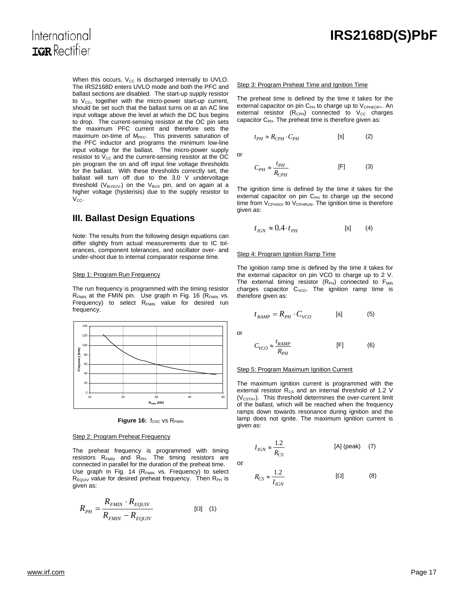### International **TOR** Rectifier

When this occurs,  $V_{CC}$  is discharged internally to UVLO. The IRS2168D enters UVLO mode and both the PFC and ballast sections are disabled. The start-up supply resistor to  $V_{CC}$ , together with the micro-power start-up current, should be set such that the ballast turns on at an AC line input voltage above the level at which the DC bus begins to drop. The current-sensing resistor at the OC pin sets the maximum PFC current and therefore sets the maximum on-time of M<sub>PFC</sub>. This prevents saturation of the PFC inductor and programs the minimum low-line input voltage for the ballast. The micro-power supply resistor to  $V_{CC}$  and the current-sensing resistor at the OC pin program the on and off input line voltage thresholds for the ballast. With these thresholds correctly set, the ballast will turn off due to the 3.0 V undervoltage threshold ( $V_{BUSUV}$ ) on the  $V_{BUS}$  pin, and on again at a higher voltage (hysterisis) due to the supply resistor to  $V_{CC}$ .

### **III. Ballast Design Equations**

Note: The results from the following design equations can differ slightly from actual measurements due to IC tolerances, component tolerances, and oscillator over- and under-shoot due to internal comparator response time.

#### Step 1: Program Run Frequency

The run frequency is programmed with the timing resistor  $R_{FMIN}$  at the FMIN pin. Use graph in Fig. 16 ( $R_{FMIN}$  vs. Frequency) to select  $R_{FMIN}$  value for desired run frequency.



Figure 16: f<sub>OSC</sub> vs R<sub>FMIN</sub>

#### Step 2: Program Preheat Frequency

The preheat frequency is programmed with timing resistors  $R_{FMIN}$  and  $R_{PH}$ . The timing resistors are connected in parallel for the duration of the preheat time. Use graph in Fig. 14 (R<sub>FMIN</sub> vs. Frequency) to select  $R_{EQUIV}$  value for desired preheat frequency. Then  $R_{PH}$  is given as:

$$
R_{PH} = \frac{R_{FMIN} \cdot R_{EQUIV}}{R_{FMIN} - R_{EQUIV}} \tag{1}
$$

#### Step 3: Program Preheat Time and Ignition Time

The preheat time is defined by the time it takes for the external capacitor on pin C<sub>PH</sub> to charge up to V<sub>CPHEOP+</sub>. An external resistor  $(R_{\text{CPH}})$  connected to  $V_{\text{CC}}$  charges capacitor  $C_{PH}$ . The preheat time is therefore given as:

$$
t_{PH} \approx R_{CPH} \cdot C_{PH} \qquad \qquad \text{[s]} \tag{2}
$$

or

$$
C_{PH} \approx \frac{t_{PH}}{R_{CHH}}
$$
 [F] (3)

The ignition time is defined by the time it takes for the external capacitor on pin  $C_{PH}$  to charge up the second time from  $V_{\text{CPHSOL}}$  to  $V_{\text{CPHRUN}}$ . The ignition time is therefore given as:

$$
t_{IGN} \approx 0.4 \cdot t_{PH} \tag{8}
$$

#### Step 4: Program Ignition Ramp Time

The ignition ramp time is defined by the time it takes for the external capacitor on pin VCO to charge up to 2 V. The external timing resistor  $(R_{PH})$  connected to  $F_{MIN}$ charges capacitor  $C_{VCO}$ . The ignition ramp time is therefore given as:

$$
t_{RAMP} = R_{PH} \cdot C_{VCO} \qquad \text{[s]} \tag{5}
$$

or

or

$$
C_{VCO} \approx \frac{t_{RAMP}}{R_{PH}} \tag{6}
$$

#### Step 5: Program Maximum Ignition Current

The maximum ignition current is programmed with the external resistor  $R_{CS}$  and an internal threshold of 1.2 V  $(V_{\text{CSTH+}})$ . This threshold determines the over-current limit of the ballast, which will be reached when the frequency ramps down towards resonance during ignition and the lamp does not ignite. The maximum ignition current is given as:

$$
I_{IGN} \approx \frac{1.2}{R_{CS}} \tag{A} \text{ [A] (peak)} \tag{7}
$$

$$
R_{CS} \approx \frac{1.2}{I_{IGN}} \tag{8}
$$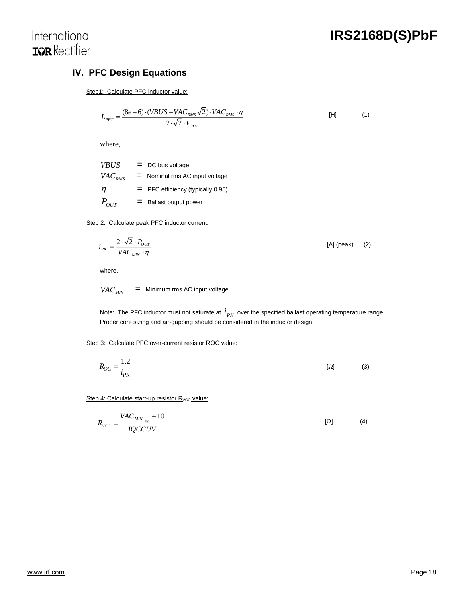

# International **IGR** Rectifier

### **IV. PFC Design Equations**

Step1: Calculate PFC inductor value:

$$
L_{PFC} = \frac{(8e-6)\cdot(VBUS-VAC_{RMS}\sqrt{2})\cdot VAC_{RMS}\cdot\eta}{2\cdot\sqrt{2}\cdot P_{OUT}}
$$
 [H] (1)

where,

| <b>VBUS</b> | $=$ DC bus voltage                  |
|-------------|-------------------------------------|
| $VAC_{RMS}$ | $=$ Nominal rms AC input voltage    |
| n           | $=$ PFC efficiency (typically 0.95) |
| $P_{OUT}$   | $=$ Ballast output power            |

Step 2: Calculate peak PFC inductor current:

$$
i_{PK} = \frac{2 \cdot \sqrt{2} \cdot P_{OUT}}{VAC_{MIN} \cdot \eta}
$$
 [A] (peak) (2)

where,

 $VAC_{MIN}$  = Minimum rms AC input voltage

Note: The PFC inductor must not saturate at  $i_{PK}$  over the specified ballast operating temperature range. Proper core sizing and air-gapping should be considered in the inductor design.

#### Step 3: Calculate PFC over-current resistor ROC value:

$$
R_{OC} = \frac{1.2}{i_{PK}}\tag{3}
$$

Step 4: Calculate start-up resistor  $R_{VCC}$  value:

$$
R_{VCC} = \frac{VAC_{MIN_{PK}} + 10}{IQCCUV} \tag{4}
$$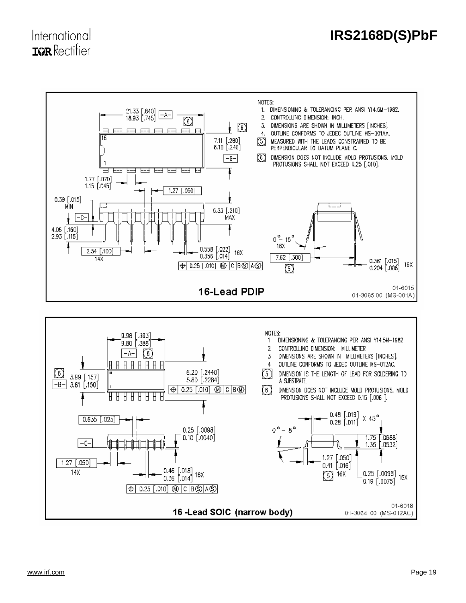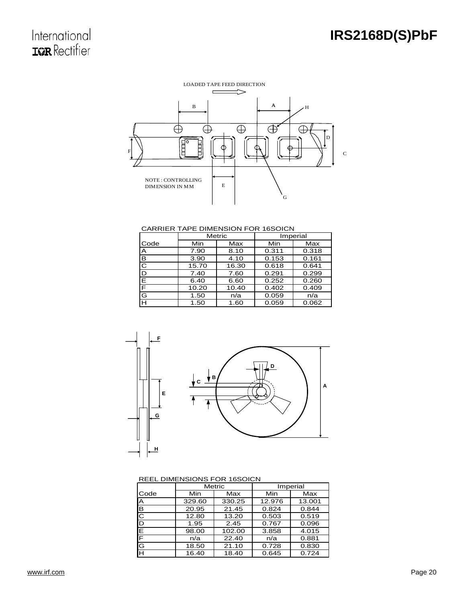

#### CARRIER TAPE DIMENSION FOR 16SOICN

|                           | Metric |       |       | Imperial |
|---------------------------|--------|-------|-------|----------|
| Code                      | Min    | Max   | Min   | Max      |
| Α                         | 7.90   | 8.10  | 0.311 | 0.318    |
| $\overline{\mathbf{B}}$   | 3.90   | 4.10  | 0.153 | 0.161    |
| $\overline{\overline{C}}$ | 15.70  | 16.30 | 0.618 | 0.641    |
| $\overline{\mathsf{D}}$   | 7.40   | 7.60  | 0.291 | 0.299    |
| $\overline{\mathsf{E}}$   | 6.40   | 6.60  | 0.252 | 0.260    |
| F                         | 10.20  | 10.40 | 0.402 | 0.409    |
| G                         | 1.50   | n/a   | 0.059 | n/a      |
| Έ                         | 1.50   | 1.60  | 0.059 | 0.062    |



#### REEL DIMENSIONS FOR 16SOICN

|      | Metric |        |        | Imperial |  |
|------|--------|--------|--------|----------|--|
| Code | Min    | Max    | Min    | Max      |  |
| ΙA   | 329.60 | 330.25 | 12.976 | 13.001   |  |
| IВ   | 20.95  | 21.45  | 0.824  | 0.844    |  |
| IC   | 12.80  | 13.20  | 0.503  | 0.519    |  |
| ID   | 1.95   | 2.45   | 0.767  | 0.096    |  |
| E    | 98.00  | 102.00 | 3.858  | 4.015    |  |
| F    | n/a    | 22.40  | n/a    | 0.881    |  |
| G    | 18.50  | 21.10  | 0.728  | 0.830    |  |
| Iн   | 16.40  | 18.40  | 0.645  | 0.724    |  |